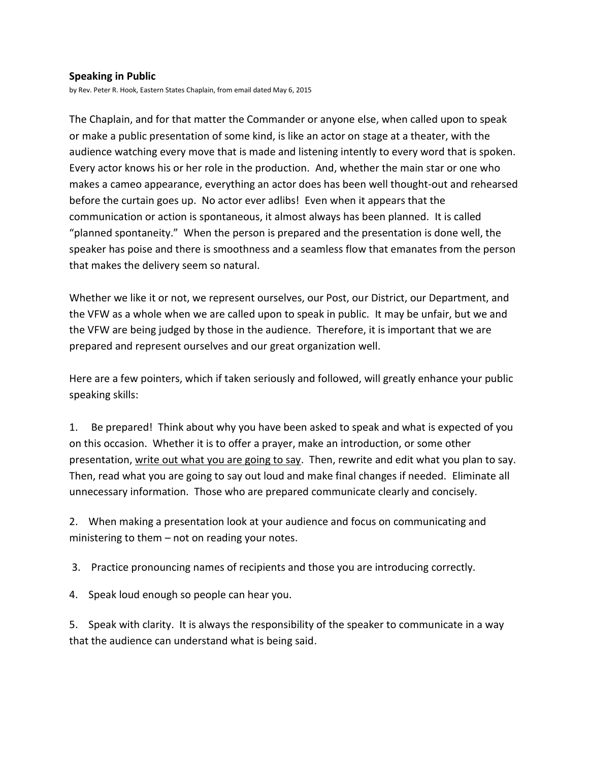## **Speaking in Public**

by Rev. Peter R. Hook, Eastern States Chaplain, from email dated May 6, 2015

The Chaplain, and for that matter the Commander or anyone else, when called upon to speak or make a public presentation of some kind, is like an actor on stage at a theater, with the audience watching every move that is made and listening intently to every word that is spoken. Every actor knows his or her role in the production. And, whether the main star or one who makes a cameo appearance, everything an actor does has been well thought-out and rehearsed before the curtain goes up. No actor ever adlibs! Even when it appears that the communication or action is spontaneous, it almost always has been planned. It is called "planned spontaneity." When the person is prepared and the presentation is done well, the speaker has poise and there is smoothness and a seamless flow that emanates from the person that makes the delivery seem so natural.

Whether we like it or not, we represent ourselves, our Post, our District, our Department, and the VFW as a whole when we are called upon to speak in public. It may be unfair, but we and the VFW are being judged by those in the audience. Therefore, it is important that we are prepared and represent ourselves and our great organization well.

Here are a few pointers, which if taken seriously and followed, will greatly enhance your public speaking skills:

1. Be prepared! Think about why you have been asked to speak and what is expected of you on this occasion. Whether it is to offer a prayer, make an introduction, or some other presentation, write out what you are going to say. Then, rewrite and edit what you plan to say. Then, read what you are going to say out loud and make final changes if needed. Eliminate all unnecessary information. Those who are prepared communicate clearly and concisely.

2. When making a presentation look at your audience and focus on communicating and ministering to them – not on reading your notes.

3. Practice pronouncing names of recipients and those you are introducing correctly.

4. Speak loud enough so people can hear you.

5. Speak with clarity. It is always the responsibility of the speaker to communicate in a way that the audience can understand what is being said.